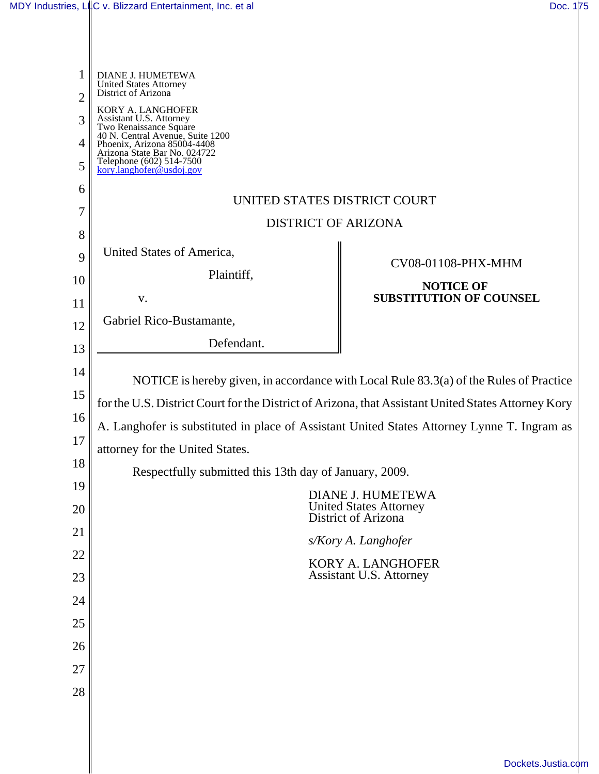| 1<br>$\overline{2}$ | DIANE J. HUMETEWA<br>United States Attorney<br>District of Arizona                                                                        |                                |  |
|---------------------|-------------------------------------------------------------------------------------------------------------------------------------------|--------------------------------|--|
| 3                   | KORY A. LANGHOFER<br>Assistant U.S. Attorney<br>Two Renaissance Square<br>40 N. Central Avenue, Suite 1200<br>Phoenix, Arizona 85004-4408 |                                |  |
| 4                   | Arizona State Bar No. 024722                                                                                                              |                                |  |
| 5                   | Telephone $(602)$ 514-7500<br>kory.langhofer@usdoj.gov                                                                                    |                                |  |
| 6                   | UNITED STATES DISTRICT COURT                                                                                                              |                                |  |
| 7                   | <b>DISTRICT OF ARIZONA</b>                                                                                                                |                                |  |
| 8                   |                                                                                                                                           |                                |  |
| 9                   | United States of America,                                                                                                                 | CV08-01108-PHX-MHM             |  |
| 10                  | Plaintiff,                                                                                                                                | <b>NOTICE OF</b>               |  |
| 11                  | V.                                                                                                                                        | <b>SUBSTITUTION OF COUNSEL</b> |  |
| 12                  | Gabriel Rico-Bustamante,                                                                                                                  |                                |  |
| 13                  | Defendant.                                                                                                                                |                                |  |
| 14                  |                                                                                                                                           |                                |  |
| 15                  | NOTICE is hereby given, in accordance with Local Rule 83.3(a) of the Rules of Practice                                                    |                                |  |
| 16                  | for the U.S. District Court for the District of Arizona, that Assistant United States Attorney Kory                                       |                                |  |
| 17                  | A. Langhofer is substituted in place of Assistant United States Attorney Lynne T. Ingram as                                               |                                |  |
|                     | attorney for the United States.                                                                                                           |                                |  |
| 18                  | Respectfully submitted this 13th day of January, 2009.                                                                                    |                                |  |
| 19                  | DIANE J. HUMETEWA                                                                                                                         |                                |  |
| 20                  | <b>United States Attorney</b><br>District of Arizona                                                                                      |                                |  |
| 21                  | s/Kory A. Langhofer                                                                                                                       |                                |  |
| 22                  | <b>KORY A. LANGHOFER</b>                                                                                                                  |                                |  |
| 23                  |                                                                                                                                           | <b>Assistant U.S. Attorney</b> |  |
| 24                  |                                                                                                                                           |                                |  |
| 25                  |                                                                                                                                           |                                |  |
| 26                  |                                                                                                                                           |                                |  |
| 27                  |                                                                                                                                           |                                |  |
| 28                  |                                                                                                                                           |                                |  |
|                     |                                                                                                                                           |                                |  |